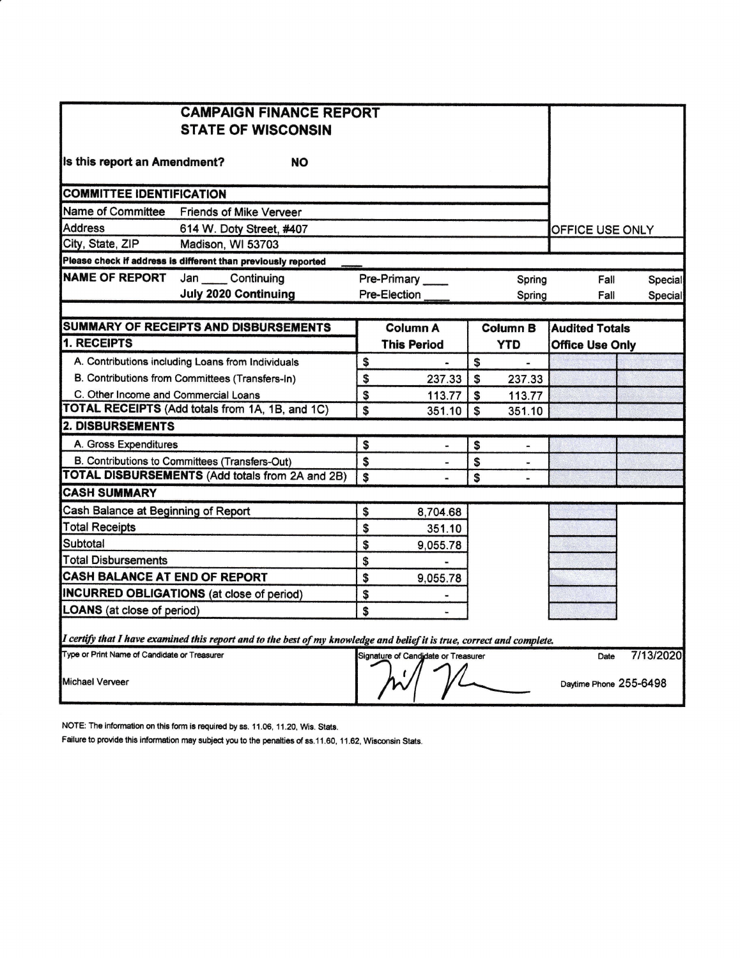|                                              | <b>CAMPAIGN FINANCE REPORT</b>                                                                                          |              |                                     |              |                 |                        |           |
|----------------------------------------------|-------------------------------------------------------------------------------------------------------------------------|--------------|-------------------------------------|--------------|-----------------|------------------------|-----------|
| <b>STATE OF WISCONSIN</b>                    |                                                                                                                         |              |                                     |              |                 |                        |           |
| Is this report an Amendment?<br><b>NO</b>    |                                                                                                                         |              |                                     |              |                 |                        |           |
| <b>COMMITTEE IDENTIFICATION</b>              |                                                                                                                         |              |                                     |              |                 |                        |           |
| Name of Committee                            | <b>Friends of Mike Verveer</b>                                                                                          |              |                                     |              |                 |                        |           |
| <b>Address</b>                               | 614 W. Doty Street, #407                                                                                                |              |                                     |              |                 | OFFICE USE ONLY        |           |
| City, State, ZIP                             | Madison, WI 53703                                                                                                       |              |                                     |              |                 |                        |           |
|                                              | Please check if address is different than previously reported                                                           |              |                                     |              |                 |                        |           |
| <b>NAME OF REPORT</b>                        | Jan Continuing                                                                                                          | Pre-Primary  |                                     | Spring       | Fall            | Special                |           |
|                                              | <b>July 2020 Continuing</b>                                                                                             | Pre-Election |                                     |              | Spring          | Fall                   | Special   |
|                                              |                                                                                                                         |              |                                     |              |                 |                        |           |
|                                              | SUMMARY OF RECEIPTS AND DISBURSEMENTS                                                                                   |              | <b>Column A</b>                     |              | <b>Column B</b> | <b>Audited Totals</b>  |           |
| 1. RECEIPTS                                  |                                                                                                                         |              | <b>This Period</b>                  |              | <b>YTD</b>      | <b>Office Use Only</b> |           |
|                                              | A. Contributions including Loans from Individuals                                                                       | \$           |                                     | \$           | $\blacksquare$  |                        |           |
|                                              | B. Contributions from Committees (Transfers-In)                                                                         | \$           | 237.33                              | $\mathbf s$  | 237.33          |                        |           |
| C. Other Income and Commercial Loans         |                                                                                                                         | \$           | 113.77                              | \$           | 113.77          |                        |           |
|                                              | TOTAL RECEIPTS (Add totals from 1A, 1B, and 1C)                                                                         | \$           | 351.10                              | $\mathbf{s}$ | 351.10          |                        |           |
| <b>2. DISBURSEMENTS</b>                      |                                                                                                                         |              |                                     |              |                 |                        |           |
| A. Gross Expenditures                        |                                                                                                                         | \$           |                                     | \$           | $\blacksquare$  |                        |           |
|                                              | B. Contributions to Committees (Transfers-Out)                                                                          | \$           | w.                                  | \$           |                 |                        |           |
|                                              | <b>TOTAL DISBURSEMENTS (Add totals from 2A and 2B)</b>                                                                  | \$           |                                     | \$           |                 |                        |           |
| <b>CASH SUMMARY</b>                          |                                                                                                                         |              |                                     |              |                 |                        |           |
| Cash Balance at Beginning of Report          |                                                                                                                         | \$           | 8,704.68                            |              |                 |                        |           |
| <b>Total Receipts</b>                        |                                                                                                                         | \$           | 351.10                              |              |                 |                        |           |
| Subtotal                                     |                                                                                                                         | \$           | 9,055.78                            |              |                 |                        |           |
| <b>Total Disbursements</b>                   |                                                                                                                         | \$           |                                     |              |                 |                        |           |
| CASH BALANCE AT END OF REPORT                |                                                                                                                         | \$           | 9,055.78                            |              |                 |                        |           |
|                                              | <b>INCURRED OBLIGATIONS</b> (at close of period)                                                                        | \$           |                                     |              |                 |                        |           |
| <b>LOANS</b> (at close of period)            |                                                                                                                         | \$           |                                     |              |                 |                        |           |
|                                              | I certify that I have examined this report and to the best of my knowledge and belief it is true, correct and complete. |              |                                     |              |                 |                        |           |
| Type or Print Name of Candidate or Treasurer |                                                                                                                         |              | Signature of Candidate or Treasurer |              |                 | Date                   | 7/13/2020 |
| Michael Verveer                              |                                                                                                                         |              |                                     |              |                 | Daytime Phone 255-6498 |           |

NOTE: The information on this form is required by ss. 11.06, 11.20, Wis. Stats.

Failure to provide this information may subject you to the penalties of ss.11.60, 11.62, Wisconsin Stats.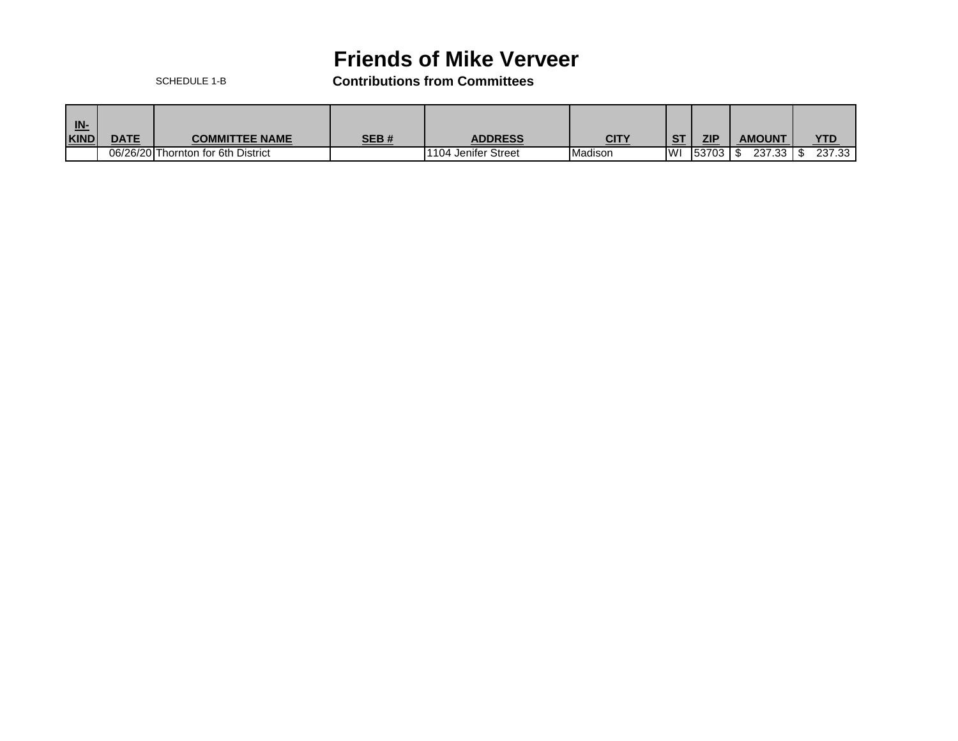## **Friends of Mike Verveer**

SCHEDULE 1-B **Contributions from Committees**

| $\underline{\mathsf{IN}}$<br><b>KIND</b> | <b>DATE</b> | SEB#<br><b>COMMITTEE NAME</b>      |  | <b>ADDRESS</b>            | <u>CITY</u>    | <b>CT</b>  | ZIP                     | <b>AMOUNT</b> | <b>YTD</b> |
|------------------------------------------|-------------|------------------------------------|--|---------------------------|----------------|------------|-------------------------|---------------|------------|
|                                          |             | 06/26/20 Thornton for 6th District |  | I Jenifer Street<br>1104. | <b>Madison</b> | <b>IWI</b> | <b>153703</b><br>טט וטט | 237.33        | 237.33     |